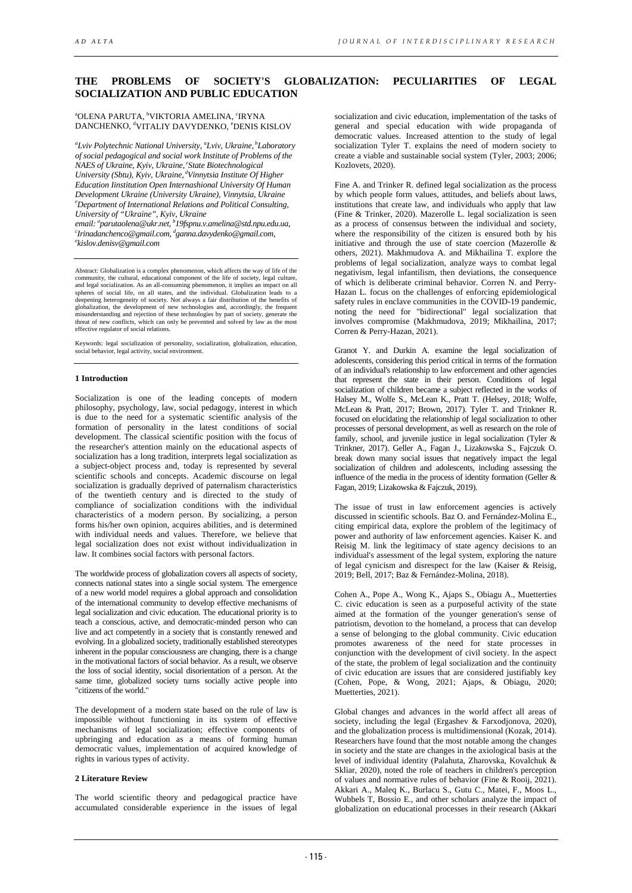# **THE PROBLEMS OF SOCIETY'S GLOBALIZATION: PECULIARITIES OF LEGAL SOCIALIZATION AND PUBLIC EDUCATION**

## <sup>a</sup>OLENA PARUTA, <sup>b</sup>VIKTORIA AMELINA, <sup>c</sup>IRYNA DANCHENKO, <sup>d</sup>VITALIY DAVYDENKO, <sup>e</sup>DENIS KISLOV

<sup>a</sup>Lviv Polytechnic National University, <sup>a</sup>Lviv, Ukraine, <sup>b</sup>Laboratory *of social pedagogical and social work Institute of Problems of the NAES of Ukraine, Kyiv, Ukraine, cState Biotechnological University (Sbtu), Kyiv, Ukraine, dVinnytsia Institute Of Higher Education Iinstitution Open Internashional University Of Human Development Ukraine (University Ukraine), Vinnytsia, Ukraine e Department of International Relations and Political Consulting, University of "Ukraine", Kyiv, Ukraine*

*email: a parutaolena@ukr.net, b 19fspnu.v.amelina@std.npu.edu.ua, c Irinadanchenco@gmail.com, d ganna.davydenko@gmail.com, e kislov.denisv@gmail.com*

Abstract: Globalization is a complex phenomenon, which affects the way of life of the community, the cultural, educational component of the life of society, legal culture, and legal socialization. As an all-consuming phenomenon, it implies an impact on all spheres of social life, on all states, and the individual. Globalization leads to a deepening heterogeneity of society. Not always a fair distribution of the benefits of globalization, the development of new technologies and, accordingly, the frequent misunderstanding and rejection of these technologies by part of society, generate the threat of new conflicts, which can only be prevented and solved by law as the most effective regulator of social relations.

Keywords: legal socialization of personality, socialization, globalization, education, social behavior, legal activity, social environment.

# **1 Introduction**

Socialization is one of the leading concepts of modern philosophy, psychology, law, social pedagogy, interest in which is due to the need for a systematic scientific analysis of the formation of personality in the latest conditions of social development. The classical scientific position with the focus of the researcher's attention mainly on the educational aspects of socialization has a long tradition, interprets legal socialization as a subject-object process and, today is represented by several scientific schools and concepts. Academic discourse on legal socialization is gradually deprived of paternalism characteristics of the twentieth century and is directed to the study of compliance of socialization conditions with the individual characteristics of a modern person. By socializing, a person forms his/her own opinion, acquires abilities, and is determined with individual needs and values. Therefore, we believe that legal socialization does not exist without individualization in law. It combines social factors with personal factors.

The worldwide process of globalization covers all aspects of society, connects national states into a single social system. The emergence of a new world model requires a global approach and consolidation of the international community to develop effective mechanisms of legal socialization and civic education. The educational priority is to teach a conscious, active, and democratic-minded person who can live and act competently in a society that is constantly renewed and evolving. In a globalized society, traditionally established stereotypes inherent in the popular consciousness are changing, there is a change in the motivational factors of social behavior. As a result, we observe the loss of social identity, social disorientation of a person. At the same time, globalized society turns socially active people into "citizens of the world."

The development of a modern state based on the rule of law is impossible without functioning in its system of effective mechanisms of legal socialization; effective components of upbringing and education as a means of forming human democratic values, implementation of acquired knowledge of rights in various types of activity.

#### **2 Literature Review**

The world scientific theory and pedagogical practice have accumulated considerable experience in the issues of legal socialization and civic education, implementation of the tasks of general and special education with wide propaganda of democratic values. Increased attention to the study of legal socialization Tyler T. explains the need of modern society to create a viable and sustainable social system (Tyler, 2003; 2006; Kozlovets, 2020).

Fine A. and Trinker R. defined legal socialization as the process by which people form values, attitudes, and beliefs about laws, institutions that create law, and individuals who apply that law (Fine & Trinker, 2020). Mazerolle L. legal socialization is seen as a process of consensus between the individual and society, where the responsibility of the citizen is ensured both by his initiative and through the use of state coercion (Mazerolle & others, 2021). Makhmudova A. and Mikhailina T. explore the problems of legal socialization, analyze ways to combat legal negativism, legal infantilism, then deviations, the consequence of which is deliberate criminal behavior. Corren N. and Perry-Hazan L. focus on the challenges of enforcing epidemiological safety rules in enclave communities in the COVID-19 pandemic, noting the need for "bidirectional" legal socialization that involves compromise (Makhmudova, 2019; Mikhailina, 2017; Corren & Perry-Hazan, 2021).

Granot Y. and Durkin A. examine the legal socialization of adolescents, considering this period critical in terms of the formation of an individual's relationship to law enforcement and other agencies that represent the state in their person. Conditions of legal socialization of children became a subject reflected in the works of Halsey M., Wolfe S., McLean K., Pratt T. (Helsey, 2018; Wolfe, McLean & Pratt, 2017; Brown, 2017). Tyler T. and Trinkner R. focused on elucidating the relationship of legal socialization to other processes of personal development, as well as research on the role of family, school, and juvenile justice in legal socialization (Tyler & Trinkner, 2017). Geller A., Fagan J., Lizakowska S., Fajczuk O. break down many social issues that negatively impact the legal socialization of children and adolescents, including assessing the influence of the media in the process of identity formation (Geller & Fagan, 2019; Lizakowska & Fajczuk, 2019).

The issue of trust in law enforcement agencies is actively discussed in scientific schools. Baz O. and Fernández-Molina E., citing empirical data, explore the problem of the legitimacy of power and authority of law enforcement agencies. Kaiser K. and Reisig M. link the legitimacy of state agency decisions to an individual's assessment of the legal system, exploring the nature of legal cynicism and disrespect for the law (Kaiser & Reisig, 2019; Bell, 2017; Baz & Fernández-Molina, 2018).

Cohen A., Pope A., Wong K., Ajaps S., Obiagu A., Muetterties C. civic education is seen as a purposeful activity of the state aimed at the formation of the younger generation's sense of patriotism, devotion to the homeland, a process that can develop a sense of belonging to the global community. Civic education promotes awareness of the need for state processes in conjunction with the development of civil society. In the aspect of the state, the problem of legal socialization and the continuity of civic education are issues that are considered justifiably key (Cohen, Pope, & Wong, 2021; Ajaps, & Obiagu, 2020; Muetterties, 2021).

Global changes and advances in the world affect all areas of society, including the legal (Ergashev & Farxodjonova, 2020), and the globalization process is multidimensional (Kozak, 2014). Researchers have found that the most notable among the changes in society and the state are changes in the axiological basis at the level of individual identity (Palahuta, Zharovska, Kovalchuk & Skliar, 2020), noted the role of teachers in children's perception of values and normative rules of behavior (Fine & Rooij, 2021). Akkari A., Maleq K., Burlacu S., Gutu C., Matei, F., Moos L., Wubbels T, Bossio E., and other scholars analyze the impact of globalization on educational processes in their research (Akkari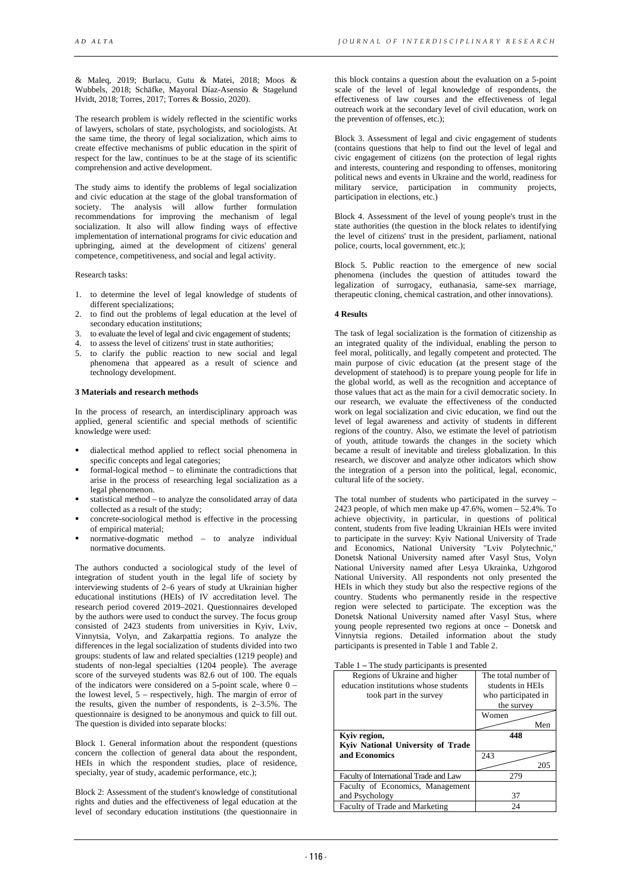& Maleq, 2019; Burlacu, Gutu & Matei, 2018; Moos & Wubbels, 2018; Schäfke, Mayoral Díaz-Asensio & Stagelund Hvidt, 2018; Torres, 2017; Torres & Bossio, 2020).

The research problem is widely reflected in the scientific works of lawyers, scholars of state, psychologists, and sociologists. At the same time, the theory of legal socialization, which aims to create effective mechanisms of public education in the spirit of respect for the law, continues to be at the stage of its scientific comprehension and active development.

The study aims to identify the problems of legal socialization and civic education at the stage of the global transformation of society. The analysis will allow further formulation recommendations for improving the mechanism of legal socialization. It also will allow finding ways of effective implementation of international programs for civic education and upbringing, aimed at the development of citizens' general competence, competitiveness, and social and legal activity.

Research tasks:

- 1. to determine the level of legal knowledge of students of different specializations:
- 2. to find out the problems of legal education at the level of secondary education institutions;
- 3. to evaluate the level of legal and civic engagement of students;
- 4. to assess the level of citizens' trust in state authorities;
- 5. to clarify the public reaction to new social and legal phenomena that appeared as a result of science and technology development.

## **3 Materials and research methods**

In the process of research, an interdisciplinary approach was applied, general scientific and special methods of scientific knowledge were used:

- dialectical method applied to reflect social phenomena in specific concepts and legal categories;
- formal-logical method to eliminate the contradictions that arise in the process of researching legal socialization as a legal phenomenon.
- statistical method to analyze the consolidated array of data collected as a result of the study;
- concrete-sociological method is effective in the processing of empirical material;
- normative-dogmatic method to analyze individual normative documents.

The authors conducted a sociological study of the level of integration of student youth in the legal life of society by interviewing students of 2–6 years of study at Ukrainian higher educational institutions (HEIs) of IV accreditation level. The research period covered 2019–2021. Questionnaires developed by the authors were used to conduct the survey. The focus group consisted of 2423 students from universities in Kyiv, Lviv, Vinnytsia, Volyn, and Zakarpattia regions. To analyze the differences in the legal socialization of students divided into two groups: students of law and related specialties (1219 people) and students of non-legal specialties (1204 people). The average score of the surveyed students was 82.6 out of 100. The equals of the indicators were considered on a 5-point scale, where  $0$ the lowest level,  $5$  – respectively, high. The margin of error of the results, given the number of respondents, is 2–3.5%. The questionnaire is designed to be anonymous and quick to fill out. The question is divided into separate blocks:

Block 1. General information about the respondent (questions concern the collection of general data about the respondent, HEIs in which the respondent studies, place of residence, specialty, year of study, academic performance, etc.);

Block 2: Assessment of the student's knowledge of constitutional rights and duties and the effectiveness of legal education at the level of secondary education institutions (the questionnaire in

this block contains a question about the evaluation on a 5-point scale of the level of legal knowledge of respondents, the effectiveness of law courses and the effectiveness of legal outreach work at the secondary level of civil education, work on the prevention of offenses, etc.);

Block 3. Assessment of legal and civic engagement of students (contains questions that help to find out the level of legal and civic engagement of citizens (on the protection of legal rights and interests, countering and responding to offenses, monitoring political news and events in Ukraine and the world, readiness for military service, participation in community projects, participation in elections, etc.)

Block 4. Assessment of the level of young people's trust in the state authorities (the question in the block relates to identifying the level of citizens' trust in the president, parliament, national police, courts, local government, etc.);

Block 5. Public reaction to the emergence of new social phenomena (includes the question of attitudes toward the legalization of surrogacy, euthanasia, same-sex marriage, therapeutic cloning, chemical castration, and other innovations).

#### **4 Results**

The task of legal socialization is the formation of citizenship as an integrated quality of the individual, enabling the person to feel moral, politically, and legally competent and protected. The main purpose of civic education (at the present stage of the development of statehood) is to prepare young people for life in the global world, as well as the recognition and acceptance of those values that act as the main for a civil democratic society. In our research, we evaluate the effectiveness of the conducted work on legal socialization and civic education, we find out the level of legal awareness and activity of students in different regions of the country. Also, we estimate the level of patriotism of youth, attitude towards the changes in the society which became a result of inevitable and tireless globalization. In this research, we discover and analyze other indicators which show the integration of a person into the political, legal, economic, cultural life of the society.

The total number of students who participated in the survey – 2423 people, of which men make up 47.6%, women – 52.4%. To achieve objectivity, in particular, in questions of political content, students from five leading Ukrainian HEIs were invited to participate in the survey: Kyiv National University of Trade and Economics, National University "Lviv Polytechnic," Donetsk National University named after Vasyl Stus, Volyn National University named after Lesya Ukrainka, Uzhgorod National University. All respondents not only presented the HEIs in which they study but also the respective regions of the country. Students who permanently reside in the respective region were selected to participate. The exception was the Donetsk National University named after Vasyl Stus, where young people represented two regions at once – Donetsk and Vinnytsia regions. Detailed information about the study participants is presented in Table 1 and Table 2.

Table 1 **–** The study participants is presented

| Regions of Ukraine and higher<br>education institutions whose students | The total number of<br>students in HEIs |  |  |
|------------------------------------------------------------------------|-----------------------------------------|--|--|
| took part in the survey                                                | who participated in                     |  |  |
|                                                                        | the survey                              |  |  |
|                                                                        | Women                                   |  |  |
|                                                                        | Men                                     |  |  |
| Kyiv region,                                                           | 448                                     |  |  |
| Kyiv National University of Trade                                      |                                         |  |  |
| and Economics                                                          | 243                                     |  |  |
|                                                                        | 205                                     |  |  |
| Faculty of International Trade and Law                                 | 279                                     |  |  |
| Faculty of Economics, Management                                       |                                         |  |  |
| and Psychology                                                         | 37                                      |  |  |
| Faculty of Trade and Marketing                                         | 24                                      |  |  |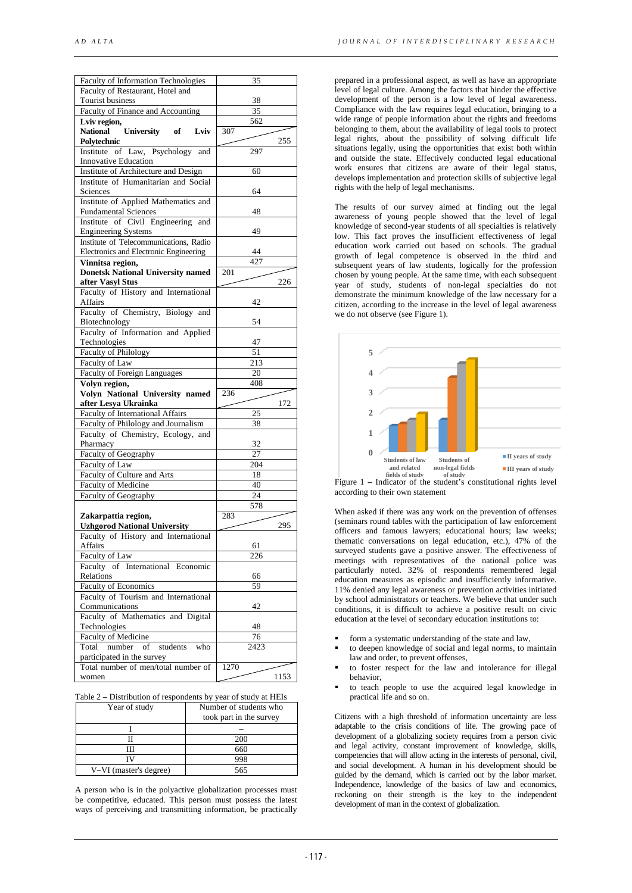| <b>Faculty of Information Technologies</b>     | 35   |      |
|------------------------------------------------|------|------|
| Faculty of Restaurant, Hotel and               |      |      |
| Tourist business                               | 38   |      |
| Faculty of Finance and Accounting              | 35   |      |
| Lviv region,                                   | 562  |      |
| <b>National</b><br>University of<br>Lviv       | 307  |      |
| Polytechnic                                    |      | 255  |
| Institute of Law, Psychology<br>and            | 297  |      |
| <b>Innovative Education</b>                    |      |      |
| Institute of Architecture and Design           |      |      |
|                                                | 60   |      |
| Institute of Humanitarian and Social           |      |      |
| Sciences                                       | 64   |      |
| Institute of Applied Mathematics and           |      |      |
| <b>Fundamental Sciences</b>                    | 48   |      |
| Institute of Civil Engineering<br>and          |      |      |
| <b>Engineering Systems</b>                     | 49   |      |
| Institute of Telecommunications, Radio         |      |      |
| Electronics and Electronic Engineering         | 44   |      |
| Vinnitsa region,                               | 427  |      |
| <b>Donetsk National University named</b>       | 201  |      |
| after Vasyl Stus                               |      | 226  |
| Faculty of History and International           |      |      |
| Affairs                                        | 42   |      |
| Faculty of Chemistry, Biology and              |      |      |
| Biotechnology                                  | 54   |      |
| Faculty of Information and Applied             |      |      |
| Technologies                                   | 47   |      |
| Faculty of Philology                           | 51   |      |
| Faculty of Law                                 | 213  |      |
| <b>Faculty of Foreign Languages</b>            | 20   |      |
| Volyn region,                                  | 408  |      |
| Volyn National University named                | 236  |      |
|                                                |      |      |
|                                                |      |      |
| after Lesya Ukrainka                           |      | 172  |
| <b>Faculty of International Affairs</b>        | 25   |      |
| Faculty of Philology and Journalism            | 38   |      |
| Faculty of Chemistry, Ecology, and             |      |      |
| Pharmacy                                       | 32   |      |
| Faculty of Geography                           | 27   |      |
| Faculty of Law                                 | 204  |      |
| Faculty of Culture and Arts                    | 18   |      |
| <b>Faculty of Medicine</b>                     | 40   |      |
| Faculty of Geography                           | 24   |      |
|                                                | 578  |      |
| Zakarpattia region,                            | 283  |      |
| <b>Uzhgorod National University</b>            |      | 295  |
| Faculty of History and International           |      |      |
| <b>Affairs</b>                                 | 61   |      |
|                                                | 226  |      |
| Faculty of Law                                 |      |      |
| Faculty of International Economic<br>Relations | 66   |      |
|                                                | 59   |      |
| Faculty of Economics                           |      |      |
| Faculty of Tourism and International           |      |      |
| Communications                                 | 42   |      |
| Faculty of Mathematics and Digital             |      |      |
| Technologies                                   | 48   |      |
| Faculty of Medicine                            | 76   |      |
| number of<br>students who<br>Total             | 2423 |      |
| participated in the survey                     |      |      |
| Total number of men/total number of<br>women   | 1270 | 1153 |

| Table 2 – Distribution of respondents by year of study at HEIs |  |  |  |
|----------------------------------------------------------------|--|--|--|
|                                                                |  |  |  |

| Year of study          | Number of students who<br>took part in the survey |
|------------------------|---------------------------------------------------|
|                        |                                                   |
|                        | 200                                               |
|                        | 660                                               |
|                        | 998                                               |
| V-VI (master's degree) | 565                                               |

A person who is in the polyactive globalization processes must be competitive, educated. This person must possess the latest ways of perceiving and transmitting information, be practically

prepared in a professional aspect, as well as have an appropriate level of legal culture. Among the factors that hinder the effective development of the person is a low level of legal awareness. Compliance with the law requires legal education, bringing to a wide range of people information about the rights and freedoms belonging to them, about the availability of legal tools to protect legal rights, about the possibility of solving difficult life situations legally, using the opportunities that exist both within and outside the state. Effectively conducted legal educational work ensures that citizens are aware of their legal status, develops implementation and protection skills of subjective legal rights with the help of legal mechanisms.

The results of our survey aimed at finding out the legal awareness of young people showed that the level of legal knowledge of second-year students of all specialties is relatively low. This fact proves the insufficient effectiveness of legal education work carried out based on schools. The gradual growth of legal competence is observed in the third and subsequent years of law students, logically for the profession chosen by young people. At the same time, with each subsequent year of study, students of non-legal specialties do not demonstrate the minimum knowledge of the law necessary for a citizen, according to the increase in the level of legal awareness we do not observe (see Figure 1).



Figure 1 **–** Indicator of the student's constitutional rights level according to their own statement

When asked if there was any work on the prevention of offenses (seminars round tables with the participation of law enforcement officers and famous lawyers; educational hours; law weeks; thematic conversations on legal education, etc.), 47% of the surveyed students gave a positive answer. The effectiveness of meetings with representatives of the national police was particularly noted. 32% of respondents remembered legal education measures as episodic and insufficiently informative. 11% denied any legal awareness or prevention activities initiated by school administrators or teachers. We believe that under such conditions, it is difficult to achieve a positive result on civic education at the level of secondary education institutions to:

- form a systematic understanding of the state and law,
- to deepen knowledge of social and legal norms, to maintain law and order, to prevent offenses,
- to foster respect for the law and intolerance for illegal behavior,
- to teach people to use the acquired legal knowledge in practical life and so on.

Citizens with a high threshold of information uncertainty are less adaptable to the crisis conditions of life. The growing pace of development of a globalizing society requires from a person civic and legal activity, constant improvement of knowledge, skills, competencies that will allow acting in the interests of personal, civil, and social development. A human in his development should be guided by the demand, which is carried out by the labor market. Independence, knowledge of the basics of law and economics, reckoning on their strength is the key to the independent development of man in the context of globalization.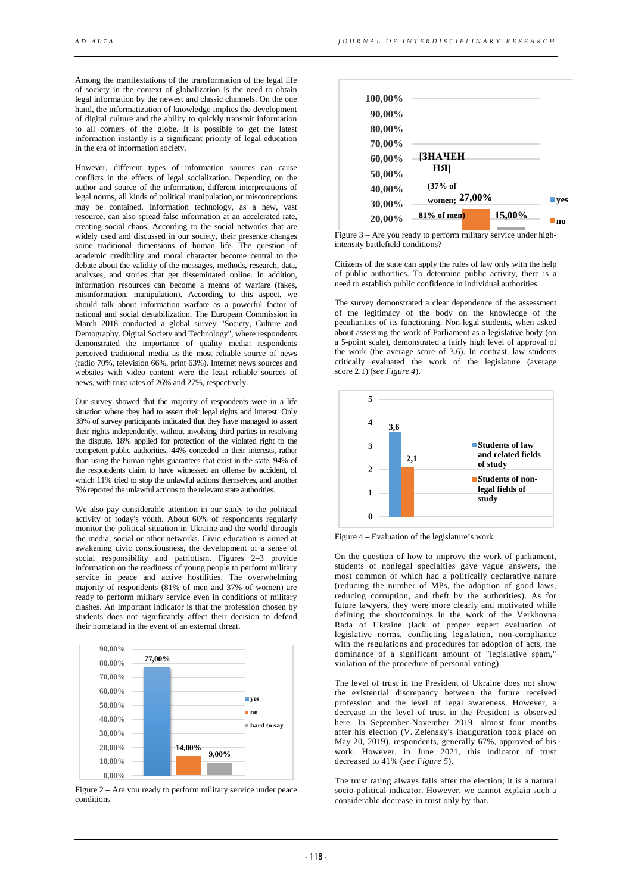Among the manifestations of the transformation of the legal life of society in the context of globalization is the need to obtain legal information by the newest and classic channels. On the one hand, the informatization of knowledge implies the development of digital culture and the ability to quickly transmit information to all corners of the globe. It is possible to get the latest information instantly is a significant priority of legal education in the era of information society.

However, different types of information sources can cause conflicts in the effects of legal socialization. Depending on the author and source of the information, different interpretations of legal norms, all kinds of political manipulation, or misconceptions may be contained. Information technology, as a new, vast resource, can also spread false information at an accelerated rate, creating social chaos. According to the social networks that are widely used and discussed in our society, their presence changes some traditional dimensions of human life. The question of academic credibility and moral character become central to the debate about the validity of the messages, methods, research, data, analyses, and stories that get disseminated online. In addition, information resources can become a means of warfare (fakes, misinformation, manipulation). According to this aspect, we should talk about information warfare as a powerful factor of national and social destabilization. The European Commission in March 2018 conducted a global survey "Society, Culture and Demography. Digital Society and Technology", where respondents demonstrated the importance of quality media: respondents perceived traditional media as the most reliable source of news (radio 70%, television 66%, print 63%). Internet news sources and websites with video content were the least reliable sources of news, with trust rates of 26% and 27%, respectively.

Our survey showed that the majority of respondents were in a life situation where they had to assert their legal rights and interest. Only 38% of survey participants indicated that they have managed to assert their rights independently, without involving third parties in resolving the dispute. 18% applied for protection of the violated right to the competent public authorities. 44% conceded in their interests, rather than using the human rights guarantees that exist in the state. 94% of the respondents claim to have witnessed an offense by accident, of which 11% tried to stop the unlawful actions themselves, and another 5% reported the unlawful actions to the relevant state authorities.

We also pay considerable attention in our study to the political activity of today's youth. About 60% of respondents regularly monitor the political situation in Ukraine and the world through the media, social or other networks. Civic education is aimed at awakening civic consciousness, the development of a sense of social responsibility and patriotism. Figures 2–3 provide information on the readiness of young people to perform military service in peace and active hostilities. The overwhelming majority of respondents (81% of men and 37% of women) are ready to perform military service even in conditions of military clashes. An important indicator is that the profession chosen by students does not significantly affect their decision to defend their homeland in the event of an external threat.



Figure 2 **–** Are you ready to perform military service under peace conditions



Figure 3 – Are you ready to perform military service under highintensity battlefield conditions?

Citizens of the state can apply the rules of law only with the help of public authorities. To determine public activity, there is a need to establish public confidence in individual authorities.

The survey demonstrated a clear dependence of the assessment of the legitimacy of the body on the knowledge of the peculiarities of its functioning. Non-legal students, when asked about assessing the work of Parliament as a legislative body (on a 5-point scale), demonstrated a fairly high level of approval of the work (the average score of 3.6). In contrast, law students critically evaluated the work of the legislature (average score 2.1) (*see Figure 4*).



Figure 4 **–** Evaluation of the legislature's work

On the question of how to improve the work of parliament, students of nonlegal specialties gave vague answers, the most common of which had a politically declarative nature (reducing the number of MPs, the adoption of good laws, reducing corruption, and theft by the authorities). As for future lawyers, they were more clearly and motivated while defining the shortcomings in the work of the Verkhovna Rada of Ukraine (lack of proper expert evaluation of legislative norms, conflicting legislation, non-compliance with the regulations and procedures for adoption of acts, the dominance of a significant amount of "legislative spam," violation of the procedure of personal voting).

The level of trust in the President of Ukraine does not show the existential discrepancy between the future received profession and the level of legal awareness. However, a decrease in the level of trust in the President is observed here. In September-November 2019, almost four months after his election (V. Zelensky's inauguration took place on May 20, 2019), respondents, generally 67%, approved of his work. However, in June 2021, this indicator of trust decreased to 41% (*see Figure 5*).

The trust rating always falls after the election; it is a natural socio-political indicator. However, we cannot explain such a considerable decrease in trust only by that.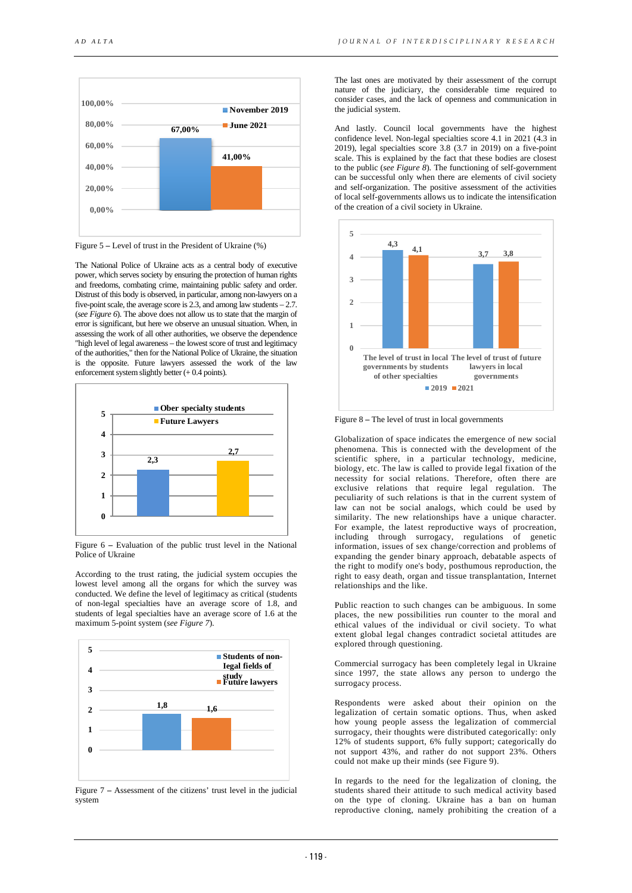

Figure 5 **–** Level of trust in the President of Ukraine (%)

The National Police of Ukraine acts as a central body of executive power, which serves society by ensuring the protection of human rights and freedoms, combating crime, maintaining public safety and order. Distrust of this body is observed, in particular, among non-lawyers on a five-point scale, the average score is 2.3, and among law students  $-2.7$ . (*see Figure 6*). The above does not allow us to state that the margin of error is significant, but here we observe an unusual situation. When, in assessing the work of all other authorities, we observe the dependence "high level of legal awareness – the lowest score of trust and legitimacy of the authorities," then for the National Police of Ukraine, the situation is the opposite. Future lawyers assessed the work of the law enforcement system slightly better  $(+ 0.4 \text{ points})$ .



Figure 6 **–** Evaluation of the public trust level in the National Police of Ukraine

According to the trust rating, the judicial system occupies the lowest level among all the organs for which the survey was conducted. We define the level of legitimacy as critical (students of non-legal specialties have an average score of 1.8, and students of legal specialties have an average score of 1.6 at the maximum 5-point system (*see Figure 7*).



Figure 7 **–** Assessment of the citizens' trust level in the judicial system

The last ones are motivated by their assessment of the corrupt nature of the judiciary, the considerable time required to consider cases, and the lack of openness and communication in the judicial system.

And lastly. Council local governments have the highest confidence level. Non-legal specialties score 4.1 in 2021 (4.3 in 2019), legal specialties score 3.8 (3.7 in 2019) on a five-point scale. This is explained by the fact that these bodies are closest to the public (*see Figure 8*). The functioning of self-government can be successful only when there are elements of civil society and self-organization. The positive assessment of the activities of local self-governments allows us to indicate the intensification of the creation of a civil society in Ukraine.



Figure 8 **–** The level of trust in local governments

Globalization of space indicates the emergence of new social phenomena. This is connected with the development of the scientific sphere, in a particular technology, medicine, biology, etc. The law is called to provide legal fixation of the necessity for social relations. Therefore, often there are exclusive relations that require legal regulation. The peculiarity of such relations is that in the current system of law can not be social analogs, which could be used by similarity. The new relationships have a unique character. For example, the latest reproductive ways of procreation, including through surrogacy, regulations of genetic information, issues of sex change/correction and problems of expanding the gender binary approach, debatable aspects of the right to modify one's body, posthumous reproduction, the right to easy death, organ and tissue transplantation, Internet relationships and the like.

Public reaction to such changes can be ambiguous. In some places, the new possibilities run counter to the moral and ethical values of the individual or civil society. To what extent global legal changes contradict societal attitudes are explored through questioning.

Commercial surrogacy has been completely legal in Ukraine since 1997, the state allows any person to undergo the surrogacy process.

Respondents were asked about their opinion on the legalization of certain somatic options. Thus, when asked how young people assess the legalization of commercial surrogacy, their thoughts were distributed categorically: only 12% of students support, 6% fully support; categorically do not support 43%, and rather do not support 23%. Others could not make up their minds (see Figure 9).

In regards to the need for the legalization of cloning, the students shared their attitude to such medical activity based on the type of cloning. Ukraine has a ban on human reproductive cloning, namely prohibiting the creation of a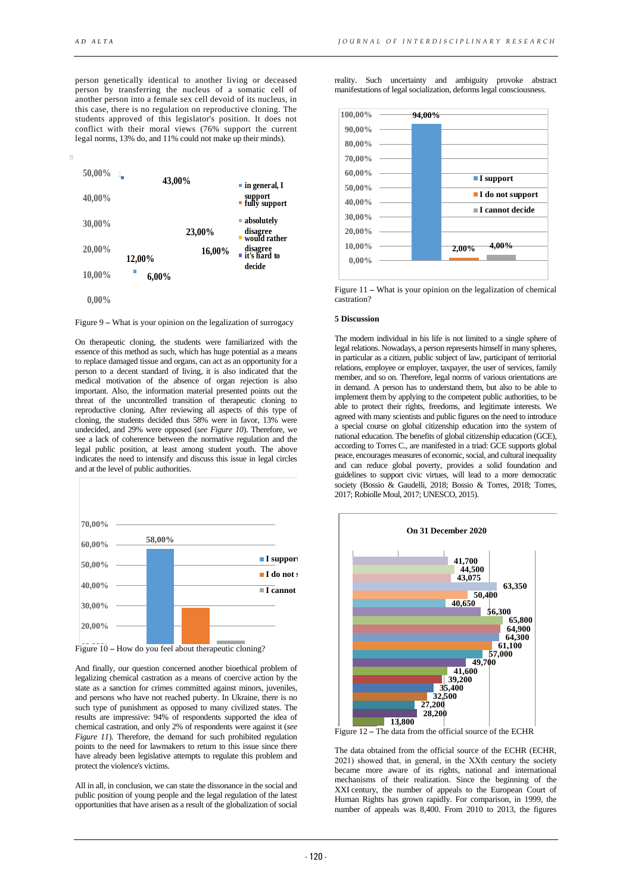person genetically identical to another living or deceased person by transferring the nucleus of a somatic cell of another person into a female sex cell devoid of its nucleus, in this case, there is no regulation on reproductive cloning. The students approved of this legislator's position. It does not conflict with their moral views (76% support the current legal norms, 13% do, and 11% could not make up their minds).



Figure 9 **–** What is your opinion on the legalization of surrogacy

On therapeutic cloning, the students were familiarized with the essence of this method as such, which has huge potential as a means to replace damaged tissue and organs, can act as an opportunity for a person to a decent standard of living, it is also indicated that the medical motivation of the absence of organ rejection is also important. Also, the information material presented points out the threat of the uncontrolled transition of therapeutic cloning to reproductive cloning. After reviewing all aspects of this type of cloning, the students decided thus 58% were in favor, 13% were undecided, and 29% were opposed (*see Figure 10*). Therefore, we see a lack of coherence between the normative regulation and the legal public position, at least among student youth. The above indicates the need to intensify and discuss this issue in legal circles and at the level of public authorities.



Figure 10 – How do you feel about therapeutic cloning?

And finally, our question concerned another bioethical problem of legalizing chemical castration as a means of coercive action by the state as a sanction for crimes committed against minors, juveniles, and persons who have not reached puberty. In Ukraine, there is no such type of punishment as opposed to many civilized states. The results are impressive: 94% of respondents supported the idea of chemical castration, and only 2% of respondents were against it (*see Figure 11*). Therefore, the demand for such prohibited regulation points to the need for lawmakers to return to this issue since there have already been legislative attempts to regulate this problem and protect the violence's victims.

All in all, in conclusion, we can state the dissonance in the social and public position of young people and the legal regulation of the latest opportunities that have arisen as a result of the globalization of social reality. Such uncertainty and ambiguity provoke abstract manifestations of legal socialization, deforms legal consciousness.



Figure 11 **–** What is your opinion on the legalization of chemical castration?

# **5 Discussion**

The modern individual in his life is not limited to a single sphere of legal relations. Nowadays, a person represents himself in many spheres, in particular as a citizen, public subject of law, participant of territorial relations, employee or employer, taxpayer, the user of services, family member, and so on. Therefore, legal norms of various orientations are in demand. A person has to understand them, but also to be able to implement them by applying to the competent public authorities, to be able to protect their rights, freedoms, and legitimate interests. We agreed with many scientists and public figures on the need to introduce a special course on global citizenship education into the system of national education. The benefits of global citizenship education (GCE), according to Torres C., are manifested in a triad: GCE supports global peace, encourages measures of economic, social, and cultural inequality and can reduce global poverty, provides a solid foundation and guidelines to support civic virtues, will lead to a more democratic society (Bossio & Gaudelli, 2018; Bossio & Torres, 2018; Torres, 2017; Robiolle Moul, 2017; UNESCO, 2015).



Figure 12 **–** The data from the official source of the ECHR

The data obtained from the official source of the ECHR (ECHR, 2021) showed that, in general, in the ХХth century the society became more aware of its rights, national and international mechanisms of their realization. Since the beginning of the XXI century, the number of appeals to the European Court of Human Rights has grown rapidly. For comparison, in 1999, the number of appeals was 8,400. From 2010 to 2013, the figures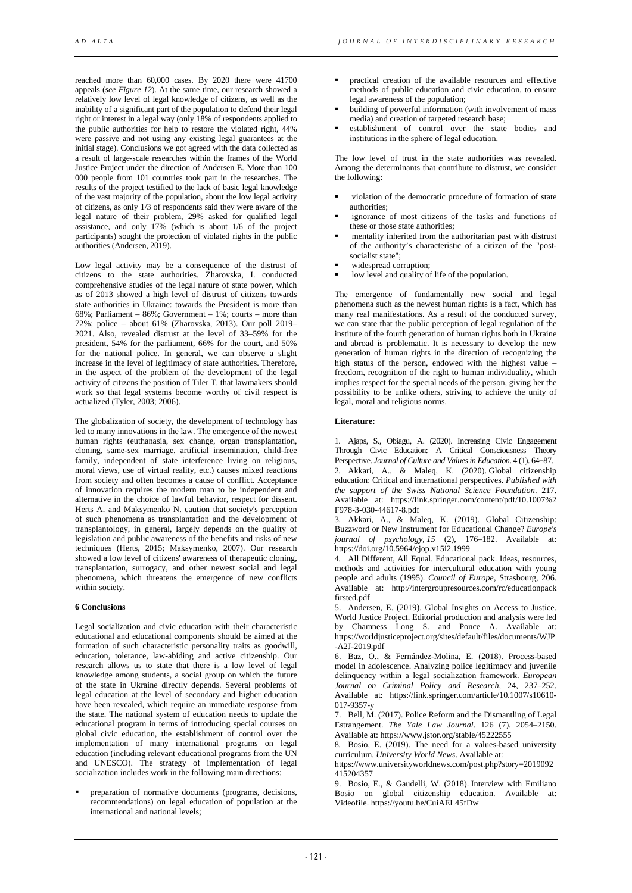reached more than 60,000 cases. By 2020 there were 41700 appeals (*see Figure 12*). At the same time, our research showed a relatively low level of legal knowledge of citizens, as well as the inability of a significant part of the population to defend their legal right or interest in a legal way (only 18% of respondents applied to the public authorities for help to restore the violated right, 44% were passive and not using any existing legal guarantees at the initial stage). Conclusions we got agreed with the data collected as a result of large-scale researches within the frames of the World Justice Project under the direction of Andersen E. More than 100 000 people from 101 countries took part in the researches. The results of the project testified to the lack of basic legal knowledge of the vast majority of the population, about the low legal activity of citizens, as only 1/3 of respondents said they were aware of the legal nature of their problem, 29% asked for qualified legal assistance, and only 17% (which is about 1/6 of the project participants) sought the protection of violated rights in the public authorities (Andersen, 2019).

Low legal activity may be a consequence of the distrust of citizens to the state authorities. Zharovska, I. conducted comprehensive studies of the legal nature of state power, which as of 2013 showed a high level of distrust of citizens towards state authorities in Ukraine: towards the President is more than 68%; Parliament – 86%; Government – 1%; courts – more than 72%; police – about 61% (Zharovska, 2013). Our poll 2019– 2021. Also, revealed distrust at the level of 33–59% for the president, 54% for the parliament, 66% for the court, and 50% for the national police. In general, we can observe a slight increase in the level of legitimacy of state authorities. Therefore, in the aspect of the problem of the development of the legal activity of citizens the position of Tiler T. that lawmakers should work so that legal systems become worthy of civil respect is actualized (Tyler, 2003; 2006).

The globalization of society, the development of technology has led to many innovations in the law. The emergence of the newest human rights (euthanasia, sex change, organ transplantation, cloning, same-sex marriage, artificial insemination, child-free family, independent of state interference living on religious, moral views, use of virtual reality, etc.) causes mixed reactions from society and often becomes a cause of conflict. Acceptance of innovation requires the modern man to be independent and alternative in the choice of lawful behavior, respect for dissent. Herts A. and Maksymenko N. caution that society's perception of such phenomena as transplantation and the development of transplantology, in general, largely depends on the quality of legislation and public awareness of the benefits and risks of new techniques (Herts, 2015; Maksymenko, 2007). Our research showed a low level of citizens' awareness of therapeutic cloning, transplantation, surrogacy, and other newest social and legal phenomena, which threatens the emergence of new conflicts within society.

### **6 Conclusions**

Legal socialization and civic education with their characteristic educational and educational components should be aimed at the formation of such characteristic personality traits as goodwill, education, tolerance, law-abiding and active citizenship. Our research allows us to state that there is a low level of legal knowledge among students, a social group on which the future of the state in Ukraine directly depends. Several problems of legal education at the level of secondary and higher education have been revealed, which require an immediate response from the state. The national system of education needs to update the educational program in terms of introducing special courses on global civic education, the establishment of control over the implementation of many international programs on legal education (including relevant educational programs from the UN and UNESCO). The strategy of implementation of legal socialization includes work in the following main directions:

 preparation of normative documents (programs, decisions, recommendations) on legal education of population at the international and national levels;

- practical creation of the available resources and effective methods of public education and civic education, to ensure legal awareness of the population;
- building of powerful information (with involvement of mass media) and creation of targeted research base;
- establishment of control over the state bodies and institutions in the sphere of legal education.

The low level of trust in the state authorities was revealed. Among the determinants that contribute to distrust, we consider the following:

- violation of the democratic procedure of formation of state authorities;
- ignorance of most citizens of the tasks and functions of these or those state authorities;
- mentality inherited from the authoritarian past with distrust of the authority's characteristic of a citizen of the "postsocialist state";
- widespread corruption;
- low level and quality of life of the population.

The emergence of fundamentally new social and legal phenomena such as the newest human rights is a fact, which has many real manifestations. As a result of the conducted survey, we can state that the public perception of legal regulation of the institute of the fourth generation of human rights both in Ukraine and abroad is problematic. It is necessary to develop the new generation of human rights in the direction of recognizing the high status of the person, endowed with the highest value – freedom, recognition of the right to human individuality, which implies respect for the special needs of the person, giving her the possibility to be unlike others, striving to achieve the unity of legal, moral and religious norms.

# **Literature:**

1. Ajaps, S., Obiagu, A. (2020). Increasing Civic Engagement Through Civic Education: A Critical Consciousness Theory Perspective. *Journal of Culture and Values in Education*. 4 (1). 64–87. 2. Akkari, A., & Maleq, K. (2020). Global citizenship education: Critical and international perspectives. *Published with the support of the Swiss National Science Foundation*. 217. Available at: https://link.springer.com/content/pdf/10.1007%2 F978-3-030-44617-8.pdf

3. Akkari, A., & Maleq, K. (2019). Global Citizenship: Buzzword or New Instrument for Educational Change? *Europe's journal of psychology*, 15 (2), 176–182. Available at: https://doi.org/10.5964/ejop.v15i2.1999

4. All Different, All Equal. Educational pack. Ideas, resources, methods and activities for intercultural education with young people and adults (1995). *Council of Europe*, Strasbourg, 206. Available at: http://intergroupresources.com/rc/educationpack firsted.pdf

5. Andersen, E. (2019). Global Insights on Access to Justice. World Justice Project. Editorial production and analysis were led by Chamness Long S. and Ponce A. Available at: https://worldjusticeproject.org/sites/default/files/documents/WJP -A2J-2019.pdf

6. Baz, O., & Fernández-Molina, E. (2018). Process-based model in adolescence. Analyzing police legitimacy and juvenile delinquency within a legal socialization framework. *European Journal on Criminal Policy and Research*, 24, 237–252. Available at: https://link.springer.com/article/10.1007/s10610- 017-9357-y

7. Bell, M. (2017). Police Reform and the Dismantling of Legal Estrangement. *The Yale Law Journal*. 126 (7). 2054–2150. Available at: https://www.jstor.org/stable/45222555

8. Bosio, E. (2019). The need for a values-based university curriculum. *University World News*. Available at:

https://www.universityworldnews.com/post.php?story=2019092 415204357

9. Bosio, E., & Gaudelli, W. (2018). Interview with Emiliano Bosio on global citizenship education. Available at: Videofile. https://youtu.be/CuiAEL45fDw